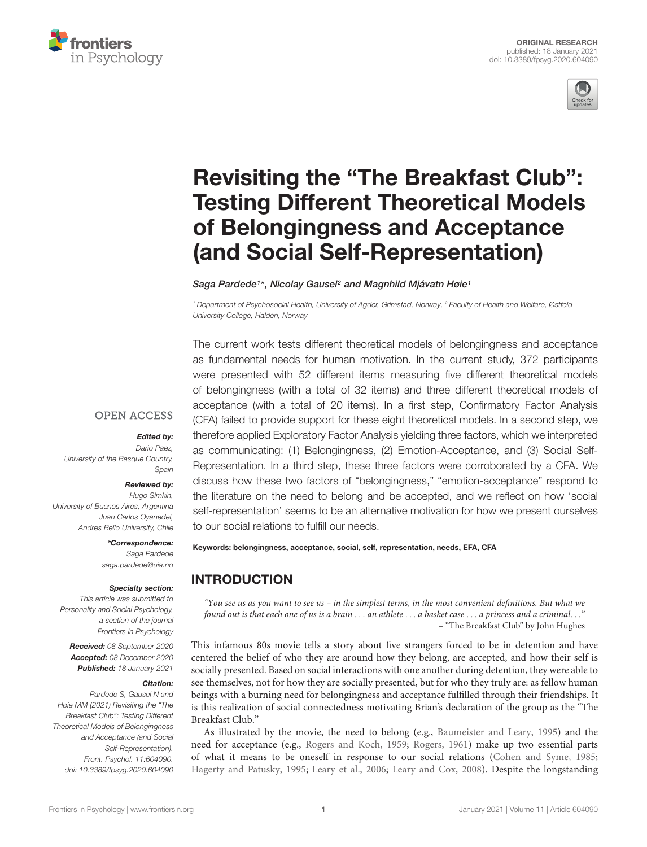



# Revisiting the "The Breakfast Club": [Testing Different Theoretical Models](https://www.frontiersin.org/articles/10.3389/fpsyg.2020.604090/full) of Belongingness and Acceptance (and Social Self-Representation)

Saga Pardede<sup>1</sup> \*, Nicolay Gausel<sup>2</sup> and Magnhild Mjåvatn Høie<sup>1</sup>

<sup>1</sup> Department of Psychosocial Health, University of Agder, Grimstad, Norway, <sup>2</sup> Faculty of Health and Welfare, Østfold University College, Halden, Norway

The current work tests different theoretical models of belongingness and acceptance as fundamental needs for human motivation. In the current study, 372 participants were presented with 52 different items measuring five different theoretical models of belongingness (with a total of 32 items) and three different theoretical models of acceptance (with a total of 20 items). In a first step, Confirmatory Factor Analysis (CFA) failed to provide support for these eight theoretical models. In a second step, we therefore applied Exploratory Factor Analysis yielding three factors, which we interpreted as communicating: (1) Belongingness, (2) Emotion-Acceptance, and (3) Social Self-Representation. In a third step, these three factors were corroborated by a CFA. We discuss how these two factors of "belongingness," "emotion-acceptance" respond to the literature on the need to belong and be accepted, and we reflect on how 'social self-representation' seems to be an alternative motivation for how we present ourselves to our social relations to fulfill our needs.

#### **OPEN ACCESS**

#### Edited by:

Dario Paez, University of the Basque Country, Spain

#### Reviewed by:

Hugo Simkin, University of Buenos Aires, Argentina Juan Carlos Oyanedel, Andres Bello University, Chile

\*Correspondence:

Saga Pardede saga.pardede@uia.no

#### Specialty section:

This article was submitted to Personality and Social Psychology, a section of the journal Frontiers in Psychology

Received: 08 September 2020 Accepted: 08 December 2020 Published: 18 January 2021

#### Citation:

Pardede S, Gausel N and Høie MM (2021) Revisiting the "The Breakfast Club": Testing Different Theoretical Models of Belongingness and Acceptance (and Social Self-Representation). Front. Psychol. 11:604090. doi: [10.3389/fpsyg.2020.604090](https://doi.org/10.3389/fpsyg.2020.604090) Keywords: belongingness, acceptance, social, self, representation, needs, EFA, CFA

# INTRODUCTION

"You see us as you want to see us – in the simplest terms, in the most convenient definitions. But what we found out is that each one of us is a brain . . . an athlete . . . a basket case . . . a princess and a criminal. . ." – "The Breakfast Club" by John Hughes

This infamous 80s movie tells a story about five strangers forced to be in detention and have centered the belief of who they are around how they belong, are accepted, and how their self is socially presented. Based on social interactions with one another during detention, they were able to see themselves, not for how they are socially presented, but for who they truly are: as fellow human beings with a burning need for belongingness and acceptance fulfilled through their friendships. It is this realization of social connectedness motivating Brian's declaration of the group as the "The Breakfast Club."

As illustrated by the movie, the need to belong (e.g., [Baumeister and Leary,](#page-9-0) [1995\)](#page-9-0) and the need for acceptance (e.g., [Rogers and Koch,](#page-10-0) [1959;](#page-10-0) [Rogers,](#page-10-1) [1961\)](#page-10-1) make up two essential parts of what it means to be oneself in response to our social relations [\(Cohen and Syme,](#page-9-1) [1985;](#page-9-1) [Hagerty and Patusky,](#page-9-2) [1995;](#page-9-2) [Leary et al.,](#page-10-2) [2006;](#page-10-2) [Leary and Cox,](#page-10-3) [2008\)](#page-10-3). Despite the longstanding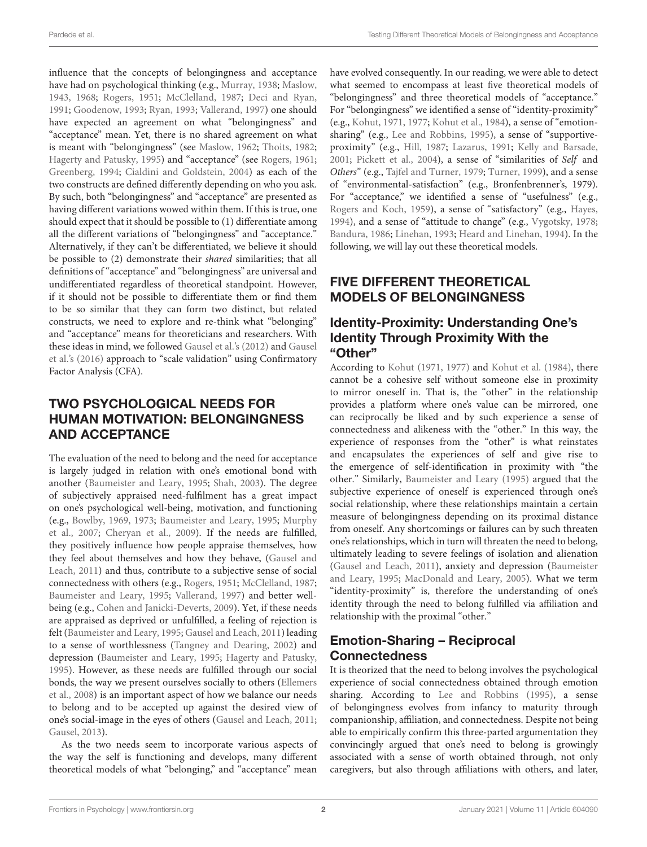influence that the concepts of belongingness and acceptance have had on psychological thinking (e.g., [Murray,](#page-10-4) [1938;](#page-10-4) [Maslow,](#page-10-5) [1943,](#page-10-5) [1968;](#page-10-6) [Rogers,](#page-10-7) [1951;](#page-10-7) [McClelland,](#page-10-8) [1987;](#page-10-8) [Deci and Ryan,](#page-9-3) [1991;](#page-9-3) [Goodenow,](#page-9-4) [1993;](#page-9-4) [Ryan,](#page-10-9) [1993;](#page-10-9) [Vallerand,](#page-11-0) [1997\)](#page-11-0) one should have expected an agreement on what "belongingness" and "acceptance" mean. Yet, there is no shared agreement on what is meant with "belongingness" (see [Maslow,](#page-10-10) [1962;](#page-10-10) [Thoits,](#page-11-1) [1982;](#page-11-1) [Hagerty and Patusky,](#page-9-2) [1995\)](#page-9-2) and "acceptance" (see [Rogers,](#page-10-1) [1961;](#page-10-1) [Greenberg,](#page-9-5) [1994;](#page-9-5) [Cialdini and Goldstein,](#page-9-6) [2004\)](#page-9-6) as each of the two constructs are defined differently depending on who you ask. By such, both "belongingness" and "acceptance" are presented as having different variations wowed within them. If this is true, one should expect that it should be possible to (1) differentiate among all the different variations of "belongingness" and "acceptance." Alternatively, if they can't be differentiated, we believe it should be possible to (2) demonstrate their shared similarities; that all definitions of "acceptance" and "belongingness" are universal and undifferentiated regardless of theoretical standpoint. However, if it should not be possible to differentiate them or find them to be so similar that they can form two distinct, but related constructs, we need to explore and re-think what "belonging" and "acceptance" means for theoreticians and researchers. With these ideas in mind, we followed [Gausel et al.'s](#page-9-7) [\(2012\)](#page-9-7) and [Gausel](#page-9-8) [et al.'](#page-9-8)s [\(2016\)](#page-9-8) approach to "scale validation" using Confirmatory Factor Analysis (CFA).

# TWO PSYCHOLOGICAL NEEDS FOR HUMAN MOTIVATION: BELONGINGNESS AND ACCEPTANCE

The evaluation of the need to belong and the need for acceptance is largely judged in relation with one's emotional bond with another [\(Baumeister and Leary,](#page-9-0) [1995;](#page-9-0) [Shah,](#page-10-11) [2003\)](#page-10-11). The degree of subjectively appraised need-fulfilment has a great impact on one's psychological well-being, motivation, and functioning (e.g., [Bowlby,](#page-9-9) [1969,](#page-9-9) [1973;](#page-9-10) [Baumeister and Leary,](#page-9-0) [1995;](#page-9-0) [Murphy](#page-10-12) [et al.,](#page-10-12) [2007;](#page-10-12) [Cheryan et al.,](#page-9-11) [2009\)](#page-9-11). If the needs are fulfilled, they positively influence how people appraise themselves, how they feel about themselves and how they behave, [\(Gausel and](#page-9-12) [Leach,](#page-9-12) [2011\)](#page-9-12) and thus, contribute to a subjective sense of social connectedness with others (e.g., [Rogers,](#page-10-7) [1951;](#page-10-7) [McClelland,](#page-10-8) [1987;](#page-10-8) [Baumeister and Leary,](#page-9-0) [1995;](#page-9-0) [Vallerand,](#page-11-0) [1997\)](#page-11-0) and better wellbeing (e.g., [Cohen and Janicki-Deverts,](#page-9-13) [2009\)](#page-9-13). Yet, if these needs are appraised as deprived or unfulfilled, a feeling of rejection is felt [\(Baumeister and Leary,](#page-9-0) [1995;](#page-9-0) [Gausel and Leach,](#page-9-12) [2011\)](#page-9-12) leading to a sense of worthlessness [\(Tangney and Dearing,](#page-11-2) [2002\)](#page-11-2) and depression [\(Baumeister and Leary,](#page-9-0) [1995;](#page-9-0) [Hagerty and Patusky,](#page-9-2) [1995\)](#page-9-2). However, as these needs are fulfilled through our social bonds, the way we present ourselves socially to others [\(Ellemers](#page-9-14) [et al.,](#page-9-14) [2008\)](#page-9-14) is an important aspect of how we balance our needs to belong and to be accepted up against the desired view of one's social-image in the eyes of others [\(Gausel and Leach,](#page-9-12) [2011;](#page-9-12) [Gausel,](#page-9-15) [2013\)](#page-9-15).

As the two needs seem to incorporate various aspects of the way the self is functioning and develops, many different theoretical models of what "belonging," and "acceptance" mean

have evolved consequently. In our reading, we were able to detect what seemed to encompass at least five theoretical models of "belongingness" and three theoretical models of "acceptance." For "belongingness" we identified a sense of "identity-proximity" (e.g., [Kohut,](#page-10-13) [1971,](#page-10-13) [1977;](#page-10-14) [Kohut et al.,](#page-10-15) [1984\)](#page-10-15), a sense of "emotionsharing" (e.g., [Lee and Robbins,](#page-10-16) [1995\)](#page-10-16), a sense of "supportiveproximity" (e.g., [Hill,](#page-10-17) [1987;](#page-10-17) [Lazarus,](#page-10-18) [1991;](#page-10-18) [Kelly and Barsade,](#page-10-19) [2001;](#page-10-19) [Pickett et al.,](#page-10-20) [2004\)](#page-10-20), a sense of "similarities of Self and Others" (e.g., [Tajfel and Turner,](#page-11-3) [1979;](#page-11-3) [Turner,](#page-11-4) [1999\)](#page-11-4), and a sense of "environmental-satisfaction" (e.g., Bronfenbrenner's, 1979). For "acceptance," we identified a sense of "usefulness" (e.g., [Rogers and Koch,](#page-10-0) [1959\)](#page-10-0), a sense of "satisfactory" (e.g., [Hayes,](#page-10-21) [1994\)](#page-10-21), and a sense of "attitude to change" (e.g., [Vygotsky,](#page-11-5) [1978;](#page-11-5) [Bandura,](#page-9-16) [1986;](#page-9-16) [Linehan,](#page-10-22) [1993;](#page-10-22) [Heard and Linehan,](#page-10-23) [1994\)](#page-10-23). In the following, we will lay out these theoretical models.

# FIVE DIFFERENT THEORETICAL MODELS OF BELONGINGNESS

#### Identity-Proximity: Understanding One's Identity Through Proximity With the "Other"

According to [Kohut](#page-10-13) [\(1971,](#page-10-13) [1977\)](#page-10-14) and [Kohut et al.](#page-10-15) [\(1984\)](#page-10-15), there cannot be a cohesive self without someone else in proximity to mirror oneself in. That is, the "other" in the relationship provides a platform where one's value can be mirrored, one can reciprocally be liked and by such experience a sense of connectedness and alikeness with the "other." In this way, the experience of responses from the "other" is what reinstates and encapsulates the experiences of self and give rise to the emergence of self-identification in proximity with "the other." Similarly, [Baumeister and Leary](#page-9-0) [\(1995\)](#page-9-0) argued that the subjective experience of oneself is experienced through one's social relationship, where these relationships maintain a certain measure of belongingness depending on its proximal distance from oneself. Any shortcomings or failures can by such threaten one's relationships, which in turn will threaten the need to belong, ultimately leading to severe feelings of isolation and alienation [\(Gausel and Leach,](#page-9-12) [2011\)](#page-9-12), anxiety and depression [\(Baumeister](#page-9-0) [and Leary,](#page-9-0) [1995;](#page-9-0) [MacDonald and Leary,](#page-10-24) [2005\)](#page-10-24). What we term "identity-proximity" is, therefore the understanding of one's identity through the need to belong fulfilled via affiliation and relationship with the proximal "other."

# Emotion-Sharing – Reciprocal **Connectedness**

It is theorized that the need to belong involves the psychological experience of social connectedness obtained through emotion sharing. According to [Lee and Robbins](#page-10-16) [\(1995\)](#page-10-16), a sense of belongingness evolves from infancy to maturity through companionship, affiliation, and connectedness. Despite not being able to empirically confirm this three-parted argumentation they convincingly argued that one's need to belong is growingly associated with a sense of worth obtained through, not only caregivers, but also through affiliations with others, and later,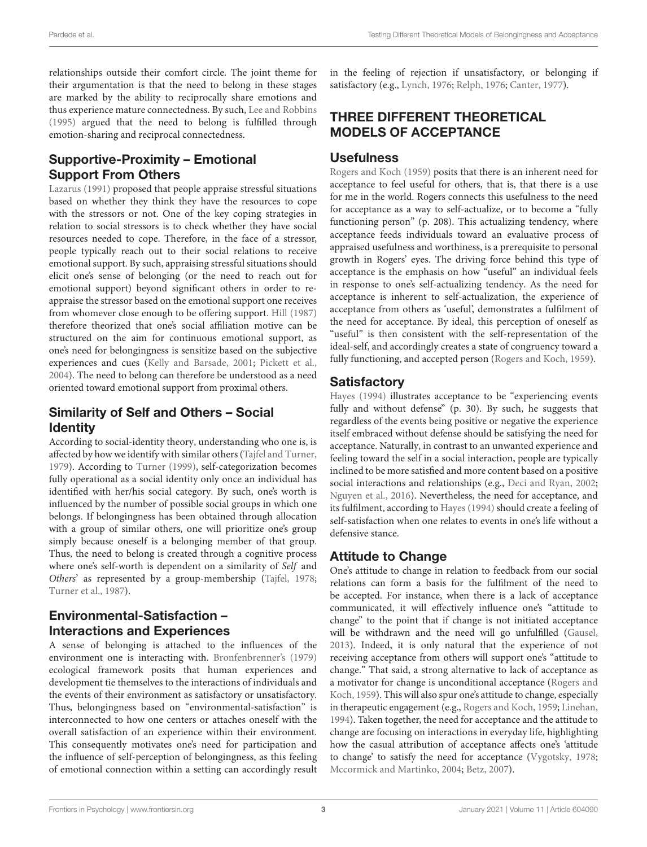relationships outside their comfort circle. The joint theme for their argumentation is that the need to belong in these stages are marked by the ability to reciprocally share emotions and thus experience mature connectedness. By such, [Lee and Robbins](#page-10-16) [\(1995\)](#page-10-16) argued that the need to belong is fulfilled through emotion-sharing and reciprocal connectedness.

# Supportive-Proximity – Emotional Support From Others

[Lazarus](#page-10-18) [\(1991\)](#page-10-18) proposed that people appraise stressful situations based on whether they think they have the resources to cope with the stressors or not. One of the key coping strategies in relation to social stressors is to check whether they have social resources needed to cope. Therefore, in the face of a stressor, people typically reach out to their social relations to receive emotional support. By such, appraising stressful situations should elicit one's sense of belonging (or the need to reach out for emotional support) beyond significant others in order to reappraise the stressor based on the emotional support one receives from whomever close enough to be offering support. [Hill](#page-10-17) [\(1987\)](#page-10-17) therefore theorized that one's social affiliation motive can be structured on the aim for continuous emotional support, as one's need for belongingness is sensitize based on the subjective experiences and cues [\(Kelly and Barsade,](#page-10-19) [2001;](#page-10-19) [Pickett et al.,](#page-10-20) [2004\)](#page-10-20). The need to belong can therefore be understood as a need oriented toward emotional support from proximal others.

# Similarity of Self and Others – Social **Identity**

According to social-identity theory, understanding who one is, is affected by how we identify with similar others [\(Tajfel and Turner,](#page-11-3) [1979\)](#page-11-3). According to [Turner](#page-11-4) [\(1999\)](#page-11-4), self-categorization becomes fully operational as a social identity only once an individual has identified with her/his social category. By such, one's worth is influenced by the number of possible social groups in which one belongs. If belongingness has been obtained through allocation with a group of similar others, one will prioritize one's group simply because oneself is a belonging member of that group. Thus, the need to belong is created through a cognitive process where one's self-worth is dependent on a similarity of Self and Others' as represented by a group-membership [\(Tajfel,](#page-10-25) [1978;](#page-10-25) [Turner et al.,](#page-11-6) [1987\)](#page-11-6).

## Environmental-Satisfaction – Interactions and Experiences

A sense of belonging is attached to the influences of the environment one is interacting with. [Bronfenbrenner'](#page-9-17)s [\(1979\)](#page-9-17) ecological framework posits that human experiences and development tie themselves to the interactions of individuals and the events of their environment as satisfactory or unsatisfactory. Thus, belongingness based on "environmental-satisfaction" is interconnected to how one centers or attaches oneself with the overall satisfaction of an experience within their environment. This consequently motivates one's need for participation and the influence of self-perception of belongingness, as this feeling of emotional connection within a setting can accordingly result

in the feeling of rejection if unsatisfactory, or belonging if satisfactory (e.g., [Lynch,](#page-10-26) [1976;](#page-10-26) [Relph,](#page-10-27) [1976;](#page-10-27) [Canter,](#page-9-18) [1977\)](#page-9-18).

# THREE DIFFERENT THEORETICAL MODELS OF ACCEPTANCE

#### **Usefulness**

[Rogers and Koch](#page-10-0) [\(1959\)](#page-10-0) posits that there is an inherent need for acceptance to feel useful for others, that is, that there is a use for me in the world. Rogers connects this usefulness to the need for acceptance as a way to self-actualize, or to become a "fully functioning person" (p. 208). This actualizing tendency, where acceptance feeds individuals toward an evaluative process of appraised usefulness and worthiness, is a prerequisite to personal growth in Rogers' eyes. The driving force behind this type of acceptance is the emphasis on how "useful" an individual feels in response to one's self-actualizing tendency. As the need for acceptance is inherent to self-actualization, the experience of acceptance from others as 'useful', demonstrates a fulfilment of the need for acceptance. By ideal, this perception of oneself as "useful" is then consistent with the self-representation of the ideal-self, and accordingly creates a state of congruency toward a fully functioning, and accepted person [\(Rogers and Koch,](#page-10-0) [1959\)](#page-10-0).

### **Satisfactory**

[Hayes](#page-10-21) [\(1994\)](#page-10-21) illustrates acceptance to be "experiencing events fully and without defense" (p. 30). By such, he suggests that regardless of the events being positive or negative the experience itself embraced without defense should be satisfying the need for acceptance. Naturally, in contrast to an unwanted experience and feeling toward the self in a social interaction, people are typically inclined to be more satisfied and more content based on a positive social interactions and relationships (e.g., [Deci and Ryan,](#page-9-19) [2002;](#page-9-19) [Nguyen et al.,](#page-10-28) [2016\)](#page-10-28). Nevertheless, the need for acceptance, and its fulfilment, according to [Hayes](#page-10-21) [\(1994\)](#page-10-21) should create a feeling of self-satisfaction when one relates to events in one's life without a defensive stance.

# Attitude to Change

One's attitude to change in relation to feedback from our social relations can form a basis for the fulfilment of the need to be accepted. For instance, when there is a lack of acceptance communicated, it will effectively influence one's "attitude to change" to the point that if change is not initiated acceptance will be withdrawn and the need will go unfulfilled [\(Gausel,](#page-9-15) [2013\)](#page-9-15). Indeed, it is only natural that the experience of not receiving acceptance from others will support one's "attitude to change." That said, a strong alternative to lack of acceptance as a motivator for change is unconditional acceptance [\(Rogers and](#page-10-0) [Koch,](#page-10-0) [1959\)](#page-10-0). This will also spur one's attitude to change, especially in therapeutic engagement (e.g., [Rogers and Koch,](#page-10-0) [1959;](#page-10-0) [Linehan,](#page-10-29) [1994\)](#page-10-29). Taken together, the need for acceptance and the attitude to change are focusing on interactions in everyday life, highlighting how the casual attribution of acceptance affects one's 'attitude to change' to satisfy the need for acceptance [\(Vygotsky,](#page-11-5) [1978;](#page-11-5) [Mccormick and Martinko,](#page-10-30) [2004;](#page-10-30) [Betz,](#page-9-20) [2007\)](#page-9-20).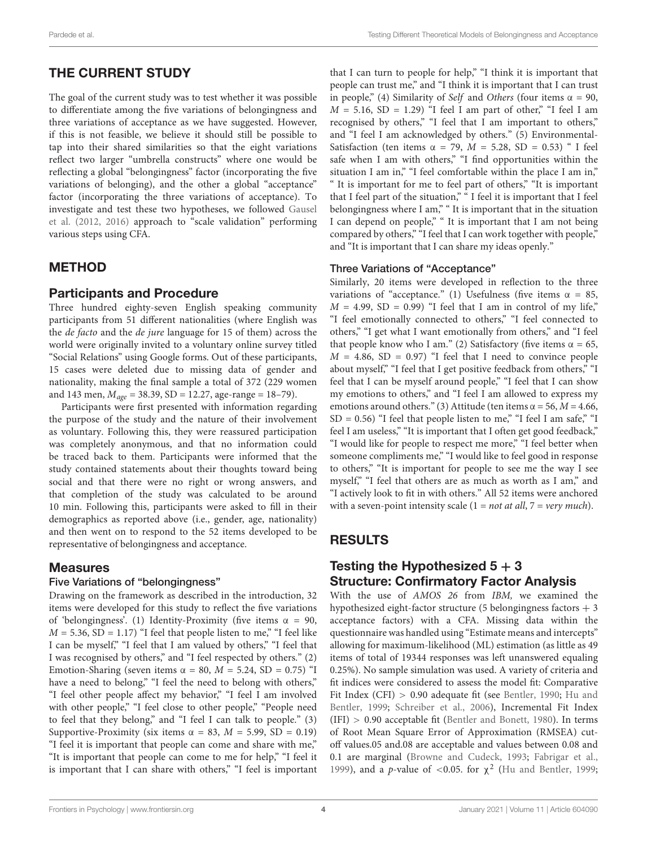# THE CURRENT STUDY

The goal of the current study was to test whether it was possible to differentiate among the five variations of belongingness and three variations of acceptance as we have suggested. However, if this is not feasible, we believe it should still be possible to tap into their shared similarities so that the eight variations reflect two larger "umbrella constructs" where one would be reflecting a global "belongingness" factor (incorporating the five variations of belonging), and the other a global "acceptance" factor (incorporating the three variations of acceptance). To investigate and test these two hypotheses, we followed [Gausel](#page-9-7) [et al.](#page-9-7) [\(2012,](#page-9-7) [2016\)](#page-9-8) approach to "scale validation" performing various steps using CFA.

# METHOD

# Participants and Procedure

Three hundred eighty-seven English speaking community participants from 51 different nationalities (where English was the de facto and the de jure language for 15 of them) across the world were originally invited to a voluntary online survey titled "Social Relations" using Google forms. Out of these participants, 15 cases were deleted due to missing data of gender and nationality, making the final sample a total of 372 (229 women and 143 men,  $M_{age} = 38.39$ , SD = 12.27, age-range = 18–79).

Participants were first presented with information regarding the purpose of the study and the nature of their involvement as voluntary. Following this, they were reassured participation was completely anonymous, and that no information could be traced back to them. Participants were informed that the study contained statements about their thoughts toward being social and that there were no right or wrong answers, and that completion of the study was calculated to be around 10 min. Following this, participants were asked to fill in their demographics as reported above (i.e., gender, age, nationality) and then went on to respond to the 52 items developed to be representative of belongingness and acceptance.

### Measures

#### Five Variations of "belongingness"

Drawing on the framework as described in the introduction, 32 items were developed for this study to reflect the five variations of 'belongingness'. (1) Identity-Proximity (five items  $\alpha = 90$ ,  $M = 5.36$ , SD = 1.17) "I feel that people listen to me," "I feel like I can be myself," "I feel that I am valued by others," "I feel that I was recognised by others," and "I feel respected by others." (2) Emotion-Sharing (seven items  $\alpha = 80$ ,  $M = 5.24$ , SD = 0.75) "I have a need to belong," "I feel the need to belong with others," "I feel other people affect my behavior," "I feel I am involved with other people," "I feel close to other people," "People need to feel that they belong," and "I feel I can talk to people." (3) Supportive-Proximity (six items  $\alpha = 83$ ,  $M = 5.99$ , SD = 0.19) "I feel it is important that people can come and share with me," "It is important that people can come to me for help," "I feel it is important that I can share with others," "I feel is important

that I can turn to people for help," "I think it is important that people can trust me," and "I think it is important that I can trust in people," (4) Similarity of Self and Others (four items  $\alpha = 90$ ,  $M = 5.16$ ,  $SD = 1.29$ ) "I feel I am part of other," "I feel I am recognised by others," "I feel that I am important to others," and "I feel I am acknowledged by others." (5) Environmental-Satisfaction (ten items  $\alpha = 79$ ,  $M = 5.28$ , SD = 0.53) " I feel safe when I am with others," "I find opportunities within the situation I am in," "I feel comfortable within the place I am in," " It is important for me to feel part of others," "It is important that I feel part of the situation," " I feel it is important that I feel belongingness where I am," " It is important that in the situation I can depend on people," " It is important that I am not being compared by others," "I feel that I can work together with people," and "It is important that I can share my ideas openly."

#### Three Variations of "Acceptance"

Similarly, 20 items were developed in reflection to the three variations of "acceptance." (1) Usefulness (five items  $\alpha = 85$ ,  $M = 4.99$ , SD = 0.99) "I feel that I am in control of my life," "I feel emotionally connected to others," "I feel connected to others," "I get what I want emotionally from others," and "I feel that people know who I am." (2) Satisfactory (five items  $\alpha = 65$ ,  $M = 4.86$ , SD = 0.97) "I feel that I need to convince people about myself," "I feel that I get positive feedback from others," "I feel that I can be myself around people," "I feel that I can show my emotions to others," and "I feel I am allowed to express my emotions around others." (3) Attitude (ten items  $\alpha$  = 56, *M* = 4.66,  $SD = 0.56$ ) "I feel that people listen to me," "I feel I am safe," "I feel I am useless," "It is important that I often get good feedback," "I would like for people to respect me more," "I feel better when someone compliments me," "I would like to feel good in response to others," "It is important for people to see me the way I see myself," "I feel that others are as much as worth as I am," and "I actively look to fit in with others." All 52 items were anchored with a seven-point intensity scale  $(1 = not at all, 7 = very much)$ .

# RESULTS

### Testing the Hypothesized  $5 + 3$ Structure: Confirmatory Factor Analysis

With the use of AMOS 26 from IBM, we examined the hypothesized eight-factor structure (5 belongingness factors  $+3$ acceptance factors) with a CFA. Missing data within the questionnaire was handled using "Estimate means and intercepts" allowing for maximum-likelihood (ML) estimation (as little as 49 items of total of 19344 responses was left unanswered equaling 0.25%). No sample simulation was used. A variety of criteria and fit indices were considered to assess the model fit: Comparative Fit Index (CFI) > 0.90 adequate fit (see [Bentler,](#page-9-21) [1990;](#page-9-21) [Hu and](#page-10-31) [Bentler,](#page-10-31) [1999;](#page-10-31) [Schreiber et al.,](#page-10-32) [2006\)](#page-10-32), Incremental Fit Index (IFI) > 0.90 acceptable fit [\(Bentler and Bonett,](#page-9-22) [1980\)](#page-9-22). In terms of Root Mean Square Error of Approximation (RMSEA) cutoff values.05 and.08 are acceptable and values between 0.08 and 0.1 are marginal [\(Browne and Cudeck,](#page-9-23) [1993;](#page-9-23) [Fabrigar et al.,](#page-9-24) [1999\)](#page-9-24), and a *p*-value of <0.05. for  $\chi^2$  [\(Hu and Bentler,](#page-10-31) [1999;](#page-10-31)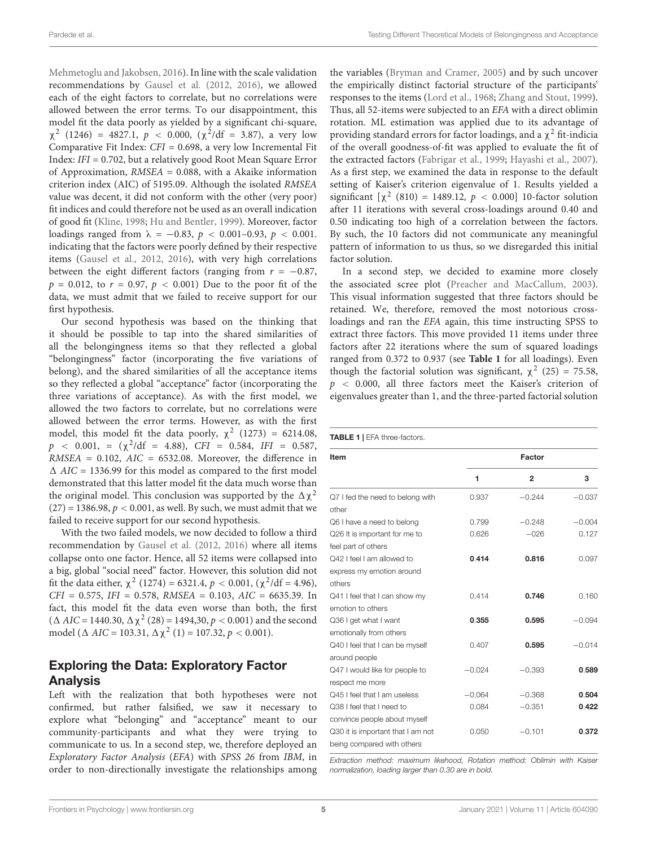[Mehmetoglu and Jakobsen,](#page-10-33) [2016\)](#page-10-33). In line with the scale validation recommendations by [Gausel et al.](#page-9-7) [\(2012,](#page-9-7) [2016\)](#page-9-8), we allowed each of the eight factors to correlate, but no correlations were allowed between the error terms. To our disappointment, this model fit the data poorly as yielded by a significant chi-square,  $\chi^2$  (1246) = 4827.1,  $p < 0.000$ , ( $\chi^2$ /df = 3.87), a very low Comparative Fit Index: CFI = 0.698, a very low Incremental Fit Index: IFI = 0.702, but a relatively good Root Mean Square Error of Approximation, RMSEA = 0.088, with a Akaike information criterion index (AIC) of 5195.09. Although the isolated RMSEA value was decent, it did not conform with the other (very poor) fit indices and could therefore not be used as an overall indication of good fit [\(Kline,](#page-10-34) [1998;](#page-10-34) [Hu and Bentler,](#page-10-31) [1999\)](#page-10-31). Moreover, factor loadings ranged from  $\lambda = -0.83$ ,  $p < 0.001 - 0.93$ ,  $p < 0.001$ . indicating that the factors were poorly defined by their respective items [\(Gausel et al.,](#page-9-7) [2012,](#page-9-7) [2016\)](#page-9-8), with very high correlations between the eight different factors (ranging from  $r = -0.87$ ,  $p = 0.012$ , to  $r = 0.97$ ,  $p < 0.001$ ) Due to the poor fit of the data, we must admit that we failed to receive support for our first hypothesis.

Our second hypothesis was based on the thinking that it should be possible to tap into the shared similarities of all the belongingness items so that they reflected a global "belongingness" factor (incorporating the five variations of belong), and the shared similarities of all the acceptance items so they reflected a global "acceptance" factor (incorporating the three variations of acceptance). As with the first model, we allowed the two factors to correlate, but no correlations were allowed between the error terms. However, as with the first model, this model fit the data poorly,  $\chi^2$  (1273) = 6214.08,  $p \sim 0.001$ , =  $(\chi^2/\text{df} = 4.88)$ , CFI = 0.584, IFI = 0.587,  $RMSEA = 0.102$ ,  $AIC = 6532.08$ . Moreover, the difference in  $\triangle$  AIC = 1336.99 for this model as compared to the first model demonstrated that this latter model fit the data much worse than the original model. This conclusion was supported by the  $\Delta \chi^2$  $(27) = 1386.98$ ,  $p < 0.001$ , as well. By such, we must admit that we failed to receive support for our second hypothesis.

With the two failed models, we now decided to follow a third recommendation by [Gausel et al.](#page-9-7) [\(2012,](#page-9-7) [2016\)](#page-9-8) where all items collapse onto one factor. Hence, all 52 items were collapsed into a big, global "social need" factor. However, this solution did not fit the data either,  $\chi^2$  (1274) = 6321.4,  $p < 0.001$ , ( $\chi^2$ /df = 4.96),  $CFI = 0.575$ ,  $IFI = 0.578$ ,  $RMSEA = 0.103$ ,  $AIC = 6635.39$ . In fact, this model fit the data even worse than both, the first  $(\Delta AIC = 1440.30, \Delta \chi^2 (28) = 1494.30, p < 0.001)$  and the second model ( $\triangle$  AIC = 103.31,  $\triangle \chi^2$  (1) = 107.32,  $p < 0.001$ ).

#### Exploring the Data: Exploratory Factor Analysis

Left with the realization that both hypotheses were not confirmed, but rather falsified, we saw it necessary to explore what "belonging" and "acceptance" meant to our community-participants and what they were trying to communicate to us. In a second step, we, therefore deployed an Exploratory Factor Analysis (EFA) with SPSS 26 from IBM, in order to non-directionally investigate the relationships among the variables [\(Bryman and Cramer,](#page-9-25) [2005\)](#page-9-25) and by such uncover the empirically distinct factorial structure of the participants' responses to the items [\(Lord et al.,](#page-10-35) [1968;](#page-10-35) [Zhang and Stout,](#page-11-7) [1999\)](#page-11-7). Thus, all 52-items were subjected to an EFA with a direct oblimin rotation. ML estimation was applied due to its advantage of providing standard errors for factor loadings, and a  $\chi^2$  fit-indicia of the overall goodness-of-fit was applied to evaluate the fit of the extracted factors [\(Fabrigar et al.,](#page-9-24) [1999;](#page-9-24) [Hayashi et al.,](#page-9-26) [2007\)](#page-9-26). As a first step, we examined the data in response to the default setting of Kaiser's criterion eigenvalue of 1. Results yielded a significant  $[\chi^2 (810) = 1489.12, p < 0.000]$  10-factor solution after 11 iterations with several cross-loadings around 0.40 and 0.50 indicating too high of a correlation between the factors. By such, the 10 factors did not communicate any meaningful pattern of information to us thus, so we disregarded this initial factor solution.

In a second step, we decided to examine more closely the associated scree plot [\(Preacher and MacCallum,](#page-10-36) [2003\)](#page-10-36). This visual information suggested that three factors should be retained. We, therefore, removed the most notorious crossloadings and ran the EFA again, this time instructing SPSS to extract three factors. This move provided 11 items under three factors after 22 iterations where the sum of squared loadings ranged from 0.372 to 0.937 (see **[Table 1](#page-4-0)** for all loadings). Even though the factorial solution was significant,  $\chi^2$  (25) = 75.58,  $p \sim 0.000$ , all three factors meet the Kaiser's criterion of eigenvalues greater than 1, and the three-parted factorial solution

<span id="page-4-0"></span>

| Item                              | Factor   |                |          |
|-----------------------------------|----------|----------------|----------|
|                                   | 1        | $\overline{2}$ | 3        |
| Q7 I fed the need to belong with  | 0.937    | $-0.244$       | $-0.037$ |
| other                             |          |                |          |
| Q6 I have a need to belong        | 0.799    | $-0.248$       | $-0.004$ |
| Q26 It is important for me to     | 0.626    | $-026$         | 0.127    |
| feel part of others               |          |                |          |
| Q42 I feel I am allowed to        | 0.414    | 0.816          | 0.097    |
| express my emotion around         |          |                |          |
| others                            |          |                |          |
| Q41 I feel that I can show my     | 0.414    | 0.746          | 0.160    |
| emotion to others                 |          |                |          |
| Q36 I get what I want             | 0.355    | 0.595          | $-0.094$ |
| emotionally from others           |          |                |          |
| Q40 I feel that I can be myself   | 0.407    | 0.595          | $-0.014$ |
| around people                     |          |                |          |
| Q47 I would like for people to    | $-0.024$ | $-0.393$       | 0.589    |
| respect me more                   |          |                |          |
| Q45 I feel that I am useless      | $-0.064$ | $-0.368$       | 0.504    |
| Q38 I feel that I need to         | 0.084    | $-0.351$       | 0.422    |
| convince people about myself      |          |                |          |
| Q30 it is important that I am not | 0.050    | $-0.101$       | 0.372    |
| being compared with others        |          |                |          |

Extraction method: maximum likehood, Rotation method: Oblimin with Kaiser normalization, loading larger than 0.30 are in bold.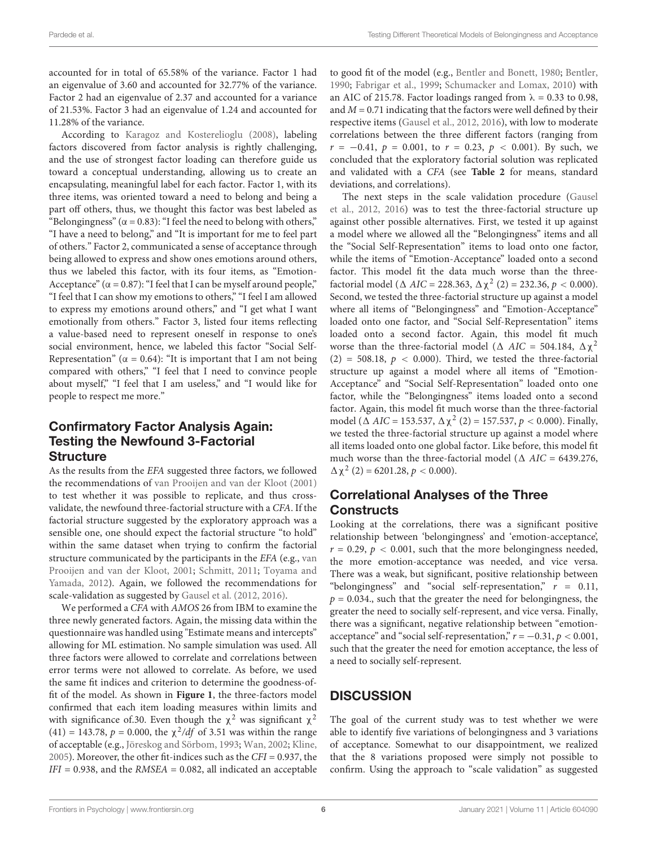accounted for in total of 65.58% of the variance. Factor 1 had an eigenvalue of 3.60 and accounted for 32.77% of the variance. Factor 2 had an eigenvalue of 2.37 and accounted for a variance of 21.53%. Factor 3 had an eigenvalue of 1.24 and accounted for 11.28% of the variance.

According to [Karagoz and Kosterelioglu](#page-10-37) [\(2008\)](#page-10-37), labeling factors discovered from factor analysis is rightly challenging, and the use of strongest factor loading can therefore guide us toward a conceptual understanding, allowing us to create an encapsulating, meaningful label for each factor. Factor 1, with its three items, was oriented toward a need to belong and being a part off others, thus, we thought this factor was best labeled as "Belongingness" ( $\alpha$  = 0.83): "I feel the need to belong with others," "I have a need to belong," and "It is important for me to feel part of others." Factor 2, communicated a sense of acceptance through being allowed to express and show ones emotions around others, thus we labeled this factor, with its four items, as "Emotion-Acceptance" ( $\alpha$  = 0.87): "I feel that I can be myself around people," "I feel that I can show my emotions to others," "I feel I am allowed to express my emotions around others," and "I get what I want emotionally from others." Factor 3, listed four items reflecting a value-based need to represent oneself in response to one's social environment, hence, we labeled this factor "Social Self-Representation" ( $\alpha = 0.64$ ): "It is important that I am not being compared with others," "I feel that I need to convince people about myself," "I feel that I am useless," and "I would like for people to respect me more."

### Confirmatory Factor Analysis Again: Testing the Newfound 3-Factorial **Structure**

As the results from the EFA suggested three factors, we followed the recommendations of [van Prooijen and van der Kloot](#page-11-8) [\(2001\)](#page-11-8) to test whether it was possible to replicate, and thus crossvalidate, the newfound three-factorial structure with a CFA. If the factorial structure suggested by the exploratory approach was a sensible one, one should expect the factorial structure "to hold" within the same dataset when trying to confirm the factorial structure communicated by the participants in the EFA (e.g., [van](#page-11-8) [Prooijen and van der Kloot,](#page-11-8) [2001;](#page-11-8) [Schmitt,](#page-10-38) [2011;](#page-10-38) [Toyama and](#page-11-9) [Yamada,](#page-11-9) [2012\)](#page-11-9). Again, we followed the recommendations for scale-validation as suggested by [Gausel et al.](#page-9-7) [\(2012,](#page-9-7) [2016\)](#page-9-8).

We performed a CFA with AMOS 26 from IBM to examine the three newly generated factors. Again, the missing data within the questionnaire was handled using "Estimate means and intercepts" allowing for ML estimation. No sample simulation was used. All three factors were allowed to correlate and correlations between error terms were not allowed to correlate. As before, we used the same fit indices and criterion to determine the goodness-offit of the model. As shown in **[Figure 1](#page-6-0)**, the three-factors model confirmed that each item loading measures within limits and with significance of 30. Even though the  $\chi^2$  was significant  $\chi^2$ (41) = 143.78,  $p = 0.000$ , the  $\chi^2/df$  of 3.51 was within the range of acceptable (e.g., [Jöreskog and Sörbom,](#page-10-39) [1993;](#page-10-39) [Wan,](#page-11-10) [2002;](#page-11-10) [Kline,](#page-10-40) [2005\)](#page-10-40). Moreover, the other fit-indices such as the CFI = 0.937, the  $IFI = 0.938$ , and the  $RMSEA = 0.082$ , all indicated an acceptable to good fit of the model (e.g., [Bentler and Bonett,](#page-9-22) [1980;](#page-9-22) [Bentler,](#page-9-21) [1990;](#page-9-21) [Fabrigar et al.,](#page-9-24) [1999;](#page-9-24) [Schumacker and Lomax,](#page-10-41) [2010\)](#page-10-41) with an AIC of 215.78. Factor loadings ranged from  $\lambda = 0.33$  to 0.98, and  $M = 0.71$  indicating that the factors were well defined by their respective items [\(Gausel et al.,](#page-9-7) [2012,](#page-9-7) [2016\)](#page-9-8), with low to moderate correlations between the three different factors (ranging from  $r = -0.41$ ,  $p = 0.001$ , to  $r = 0.23$ ,  $p < 0.001$ ). By such, we concluded that the exploratory factorial solution was replicated and validated with a CFA (see **[Table 2](#page-7-0)** for means, standard deviations, and correlations).

The next steps in the scale validation procedure [\(Gausel](#page-9-7) [et al.,](#page-9-7) [2012,](#page-9-7) [2016\)](#page-9-8) was to test the three-factorial structure up against other possible alternatives. First, we tested it up against a model where we allowed all the "Belongingness" items and all the "Social Self-Representation" items to load onto one factor, while the items of "Emotion-Acceptance" loaded onto a second factor. This model fit the data much worse than the threefactorial model ( $\triangle$  AIC = 228.363,  $\triangle \chi^2$  (2) = 232.36,  $p < 0.000$ ). Second, we tested the three-factorial structure up against a model where all items of "Belongingness" and "Emotion-Acceptance" loaded onto one factor, and "Social Self-Representation" items loaded onto a second factor. Again, this model fit much worse than the three-factorial model ( $\triangle$  AIC = 504.184,  $\triangle \chi^2$  $(2)$  = 508.18,  $p < 0.000$ ). Third, we tested the three-factorial structure up against a model where all items of "Emotion-Acceptance" and "Social Self-Representation" loaded onto one factor, while the "Belongingness" items loaded onto a second factor. Again, this model fit much worse than the three-factorial model ( $\triangle$  AIC = 153.537,  $\triangle \chi^2$  (2) = 157.537,  $p < 0.000$ ). Finally, we tested the three-factorial structure up against a model where all items loaded onto one global factor. Like before, this model fit much worse than the three-factorial model ( $\Delta$  AIC = 6439.276,  $\Delta \chi^2$  (2) = 6201.28,  $p < 0.000$ ).

### Correlational Analyses of the Three Constructs

Looking at the correlations, there was a significant positive relationship between 'belongingness' and 'emotion-acceptance',  $r = 0.29$ ,  $p < 0.001$ , such that the more belongingness needed, the more emotion-acceptance was needed, and vice versa. There was a weak, but significant, positive relationship between "belongingness" and "social self-representation,"  $r = 0.11$ ,  $p = 0.034$ ., such that the greater the need for belongingness, the greater the need to socially self-represent, and vice versa. Finally, there was a significant, negative relationship between "emotionacceptance" and "social self-representation,"  $r = -0.31$ ,  $p < 0.001$ , such that the greater the need for emotion acceptance, the less of a need to socially self-represent.

### **DISCUSSION**

The goal of the current study was to test whether we were able to identify five variations of belongingness and 3 variations of acceptance. Somewhat to our disappointment, we realized that the 8 variations proposed were simply not possible to confirm. Using the approach to "scale validation" as suggested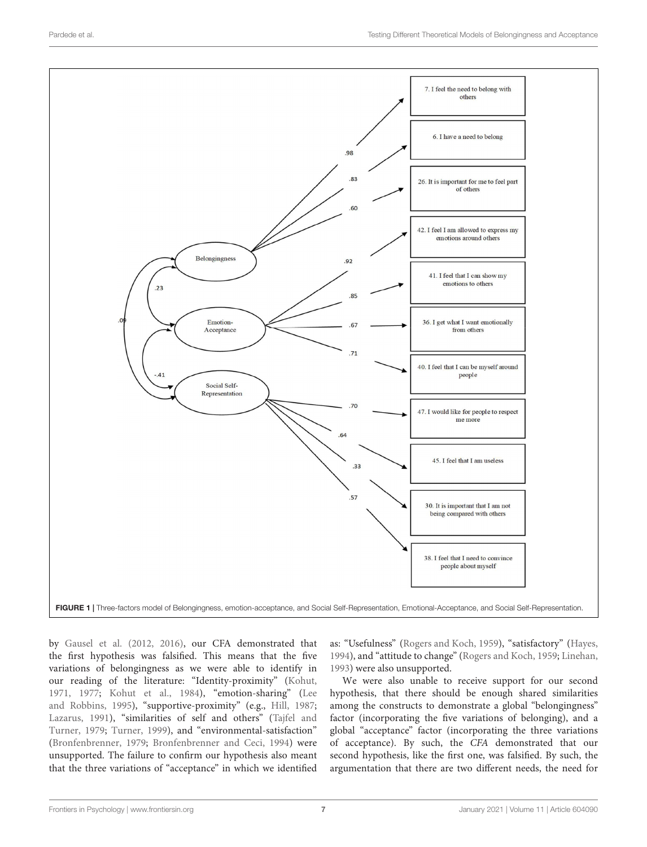

<span id="page-6-0"></span>by [Gausel et al.](#page-9-7) [\(2012,](#page-9-7) [2016\)](#page-9-8), our CFA demonstrated that the first hypothesis was falsified. This means that the five variations of belongingness as we were able to identify in our reading of the literature: "Identity-proximity" [\(Kohut,](#page-10-13) [1971,](#page-10-13) [1977;](#page-10-14) [Kohut et al.,](#page-10-15) [1984\)](#page-10-15), "emotion-sharing" [\(Lee](#page-10-16) [and Robbins,](#page-10-16) [1995\)](#page-10-16), "supportive-proximity" (e.g., [Hill,](#page-10-17) [1987;](#page-10-17) [Lazarus,](#page-10-18) [1991\)](#page-10-18), "similarities of self and others" [\(Tajfel and](#page-11-3) [Turner,](#page-11-3) [1979;](#page-11-3) [Turner,](#page-11-4) [1999\)](#page-11-4), and "environmental-satisfaction" [\(Bronfenbrenner,](#page-9-17) [1979;](#page-9-17) [Bronfenbrenner and Ceci,](#page-9-27) [1994\)](#page-9-27) were unsupported. The failure to confirm our hypothesis also meant that the three variations of "acceptance" in which we identified

as: "Usefulness" [\(Rogers and Koch,](#page-10-0) [1959\)](#page-10-0), "satisfactory" [\(Hayes,](#page-10-21) [1994\)](#page-10-21), and "attitude to change" [\(Rogers and Koch,](#page-10-0) [1959;](#page-10-0) [Linehan,](#page-10-22) [1993\)](#page-10-22) were also unsupported.

We were also unable to receive support for our second hypothesis, that there should be enough shared similarities among the constructs to demonstrate a global "belongingness" factor (incorporating the five variations of belonging), and a global "acceptance" factor (incorporating the three variations of acceptance). By such, the CFA demonstrated that our second hypothesis, like the first one, was falsified. By such, the argumentation that there are two different needs, the need for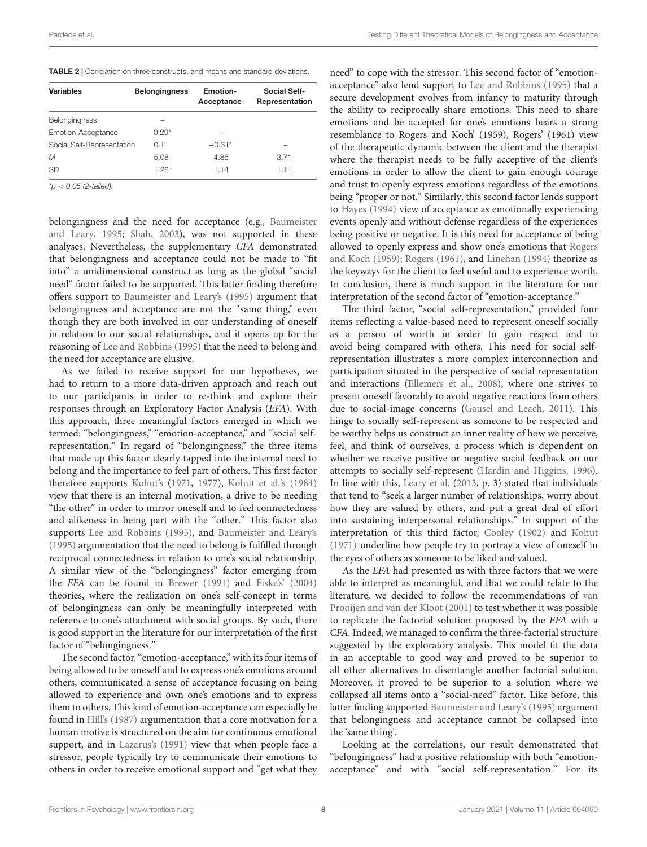<span id="page-7-0"></span>

| <b>Variables</b>           | <b>Belongingness</b> | <b>Emotion-</b><br>Acceptance | Social Self-<br>Representation |
|----------------------------|----------------------|-------------------------------|--------------------------------|
| <b>Belongingness</b>       |                      |                               |                                |
| Emotion-Acceptance         | $0.29*$              |                               |                                |
| Social Self-Representation | 0.11                 | $-0.31*$                      |                                |
| $\mathcal M$               | 5.08                 | 4.86                          | 3.71                           |
| <b>SD</b>                  | 1.26                 | 1.14                          | 1.11                           |

 $*p < 0.05$  (2-tailed).

belongingness and the need for acceptance (e.g., [Baumeister](#page-9-0) [and Leary,](#page-9-0) [1995;](#page-9-0) [Shah,](#page-10-11) [2003\)](#page-10-11), was not supported in these analyses. Nevertheless, the supplementary CFA demonstrated that belongingness and acceptance could not be made to "fit into" a unidimensional construct as long as the global "social need" factor failed to be supported. This latter finding therefore offers support to [Baumeister and Leary's](#page-9-0) [\(1995\)](#page-9-0) argument that belongingness and acceptance are not the "same thing," even though they are both involved in our understanding of oneself in relation to our social relationships, and it opens up for the reasoning of [Lee and Robbins](#page-10-16) [\(1995\)](#page-10-16) that the need to belong and the need for acceptance are elusive.

As we failed to receive support for our hypotheses, we had to return to a more data-driven approach and reach out to our participants in order to re-think and explore their responses through an Exploratory Factor Analysis (EFA). With this approach, three meaningful factors emerged in which we termed: "belongingness," "emotion-acceptance," and "social selfrepresentation." In regard of "belongingness," the three items that made up this factor clearly tapped into the internal need to belong and the importance to feel part of others. This first factor therefore supports [Kohut'](#page-10-13)s [\(1971,](#page-10-13) [1977\)](#page-10-14), [Kohut et al.'](#page-10-15)s [\(1984\)](#page-10-15) view that there is an internal motivation, a drive to be needing "the other" in order to mirror oneself and to feel connectedness and alikeness in being part with the "other." This factor also supports [Lee and Robbins](#page-10-16) [\(1995\)](#page-10-16), and [Baumeister and Leary'](#page-9-0)s [\(1995\)](#page-9-0) argumentation that the need to belong is fulfilled through reciprocal connectedness in relation to one's social relationship. A similar view of the "belongingness" factor emerging from the EFA can be found in [Brewer](#page-9-28) [\(1991\)](#page-9-28) and [Fiske's](#page-9-29)' [\(2004\)](#page-9-29) theories, where the realization on one's self-concept in terms of belongingness can only be meaningfully interpreted with reference to one's attachment with social groups. By such, there is good support in the literature for our interpretation of the first factor of "belongingness."

The second factor, "emotion-acceptance," with its four items of being allowed to be oneself and to express one's emotions around others, communicated a sense of acceptance focusing on being allowed to experience and own one's emotions and to express them to others. This kind of emotion-acceptance can especially be found in [Hill's](#page-10-17) [\(1987\)](#page-10-17) argumentation that a core motivation for a human motive is structured on the aim for continuous emotional support, and in [Lazarus'](#page-10-18)s [\(1991\)](#page-10-18) view that when people face a stressor, people typically try to communicate their emotions to others in order to receive emotional support and "get what they

need" to cope with the stressor. This second factor of "emotionacceptance" also lend support to [Lee and Robbins](#page-10-16) [\(1995\)](#page-10-16) that a secure development evolves from infancy to maturity through the ability to reciprocally share emotions. This need to share emotions and be accepted for one's emotions bears a strong resemblance to Rogers and Koch' (1959), Rogers' (1961) view of the therapeutic dynamic between the client and the therapist where the therapist needs to be fully acceptive of the client's emotions in order to allow the client to gain enough courage and trust to openly express emotions regardless of the emotions being "proper or not." Similarly, this second factor lends support to [Hayes](#page-10-21) [\(1994\)](#page-10-21) view of acceptance as emotionally experiencing events openly and without defense regardless of the experiences being positive or negative. It is this need for acceptance of being allowed to openly express and show one's emotions that [Rogers](#page-10-0) [and Koch](#page-10-0) [\(1959\)](#page-10-0); [Rogers](#page-10-1) [\(1961\)](#page-10-1), and [Linehan](#page-10-29) [\(1994\)](#page-10-29) theorize as the keyways for the client to feel useful and to experience worth. In conclusion, there is much support in the literature for our interpretation of the second factor of "emotion-acceptance."

The third factor, "social self-representation," provided four items reflecting a value-based need to represent oneself socially as a person of worth in order to gain respect and to avoid being compared with others. This need for social selfrepresentation illustrates a more complex interconnection and participation situated in the perspective of social representation and interactions [\(Ellemers et al.,](#page-9-14) [2008\)](#page-9-14), where one strives to present oneself favorably to avoid negative reactions from others due to social-image concerns [\(Gausel and Leach,](#page-9-12) [2011\)](#page-9-12). This hinge to socially self-represent as someone to be respected and be worthy helps us construct an inner reality of how we perceive, feel, and think of ourselves, a process which is dependent on whether we receive positive or negative social feedback on our attempts to socially self-represent [\(Hardin and Higgins,](#page-9-30) [1996\)](#page-9-30). In line with this, [Leary et al.](#page-10-42) [\(2013,](#page-10-42) p. 3) stated that individuals that tend to "seek a larger number of relationships, worry about how they are valued by others, and put a great deal of effort into sustaining interpersonal relationships." In support of the interpretation of this third factor, [Cooley](#page-9-31) [\(1902\)](#page-9-31) and [Kohut](#page-10-13) [\(1971\)](#page-10-13) underline how people try to portray a view of oneself in the eyes of others as someone to be liked and valued.

As the EFA had presented us with three factors that we were able to interpret as meaningful, and that we could relate to the literature, we decided to follow the recommendations of [van](#page-11-8) [Prooijen and van der Kloot](#page-11-8) [\(2001\)](#page-11-8) to test whether it was possible to replicate the factorial solution proposed by the EFA with a CFA. Indeed, we managed to confirm the three-factorial structure suggested by the exploratory analysis. This model fit the data in an acceptable to good way and proved to be superior to all other alternatives to disentangle another factorial solution. Moreover, it proved to be superior to a solution where we collapsed all items onto a "social-need" factor. Like before, this latter finding supported [Baumeister and Leary's](#page-9-0) [\(1995\)](#page-9-0) argument that belongingness and acceptance cannot be collapsed into the 'same thing'.

Looking at the correlations, our result demonstrated that "belongingness" had a positive relationship with both "emotionacceptance" and with "social self-representation." For its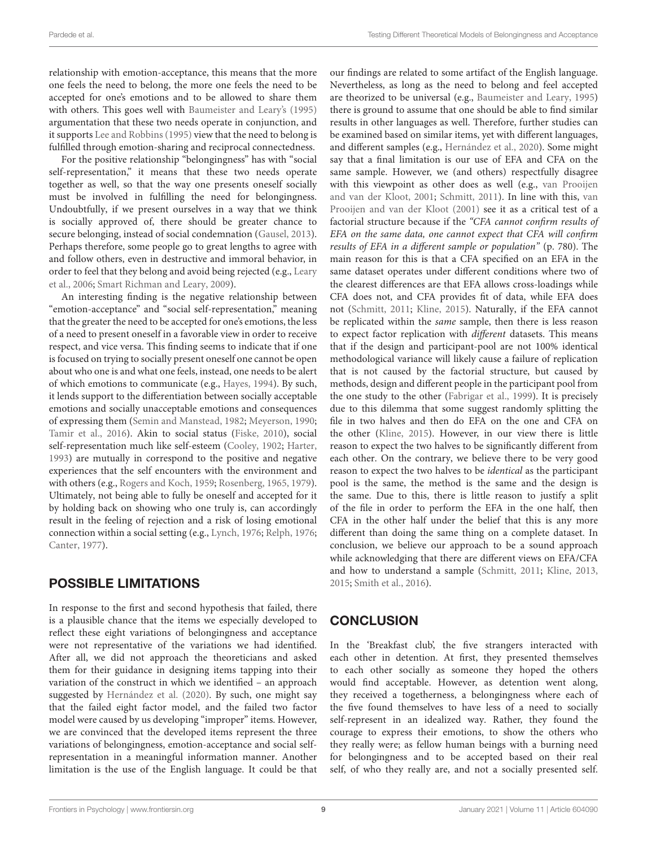relationship with emotion-acceptance, this means that the more one feels the need to belong, the more one feels the need to be accepted for one's emotions and to be allowed to share them with others. This goes well with [Baumeister and Leary'](#page-9-0)s [\(1995\)](#page-9-0) argumentation that these two needs operate in conjunction, and it supports [Lee and Robbins](#page-10-16) [\(1995\)](#page-10-16) view that the need to belong is fulfilled through emotion-sharing and reciprocal connectedness.

For the positive relationship "belongingness" has with "social self-representation," it means that these two needs operate together as well, so that the way one presents oneself socially must be involved in fulfilling the need for belongingness. Undoubtfully, if we present ourselves in a way that we think is socially approved of, there should be greater chance to secure belonging, instead of social condemnation [\(Gausel,](#page-9-15) [2013\)](#page-9-15). Perhaps therefore, some people go to great lengths to agree with and follow others, even in destructive and immoral behavior, in order to feel that they belong and avoid being rejected (e.g., [Leary](#page-10-2) [et al.,](#page-10-2) [2006;](#page-10-2) [Smart Richman and Leary,](#page-10-43) [2009\)](#page-10-43).

An interesting finding is the negative relationship between "emotion-acceptance" and "social self-representation," meaning that the greater the need to be accepted for one's emotions, the less of a need to present oneself in a favorable view in order to receive respect, and vice versa. This finding seems to indicate that if one is focused on trying to socially present oneself one cannot be open about who one is and what one feels, instead, one needs to be alert of which emotions to communicate (e.g., [Hayes,](#page-10-21) [1994\)](#page-10-21). By such, it lends support to the differentiation between socially acceptable emotions and socially unacceptable emotions and consequences of expressing them [\(Semin and Manstead,](#page-10-44) [1982;](#page-10-44) [Meyerson,](#page-10-45) [1990;](#page-10-45) [Tamir et al.,](#page-11-11) [2016\)](#page-11-11). Akin to social status [\(Fiske,](#page-9-32) [2010\)](#page-9-32), social self-representation much like self-esteem [\(Cooley,](#page-9-31) [1902;](#page-9-31) [Harter,](#page-9-33) [1993\)](#page-9-33) are mutually in correspond to the positive and negative experiences that the self encounters with the environment and with others (e.g., [Rogers and Koch,](#page-10-0) [1959;](#page-10-0) [Rosenberg,](#page-10-46) [1965,](#page-10-46) [1979\)](#page-10-47). Ultimately, not being able to fully be oneself and accepted for it by holding back on showing who one truly is, can accordingly result in the feeling of rejection and a risk of losing emotional connection within a social setting (e.g., [Lynch,](#page-10-26) [1976;](#page-10-26) [Relph,](#page-10-27) [1976;](#page-10-27) [Canter,](#page-9-18) [1977\)](#page-9-18).

### POSSIBLE LIMITATIONS

In response to the first and second hypothesis that failed, there is a plausible chance that the items we especially developed to reflect these eight variations of belongingness and acceptance were not representative of the variations we had identified. After all, we did not approach the theoreticians and asked them for their guidance in designing items tapping into their variation of the construct in which we identified – an approach suggested by [Hernández et al.](#page-10-48) [\(2020\)](#page-10-48). By such, one might say that the failed eight factor model, and the failed two factor model were caused by us developing "improper" items. However, we are convinced that the developed items represent the three variations of belongingness, emotion-acceptance and social selfrepresentation in a meaningful information manner. Another limitation is the use of the English language. It could be that

our findings are related to some artifact of the English language. Nevertheless, as long as the need to belong and feel accepted are theorized to be universal (e.g., [Baumeister and Leary,](#page-9-0) [1995\)](#page-9-0) there is ground to assume that one should be able to find similar results in other languages as well. Therefore, further studies can be examined based on similar items, yet with different languages, and different samples (e.g., [Hernández et al.,](#page-10-48) [2020\)](#page-10-48). Some might say that a final limitation is our use of EFA and CFA on the same sample. However, we (and others) respectfully disagree with this viewpoint as other does as well (e.g., [van Prooijen](#page-11-8) [and van der Kloot,](#page-11-8) [2001;](#page-11-8) [Schmitt,](#page-10-38) [2011\)](#page-10-38). In line with this, [van](#page-11-8) [Prooijen and van der Kloot](#page-11-8) [\(2001\)](#page-11-8) see it as a critical test of a factorial structure because if the "CFA cannot confirm results of EFA on the same data, one cannot expect that CFA will confirm results of EFA in a different sample or population" (p. 780). The main reason for this is that a CFA specified on an EFA in the same dataset operates under different conditions where two of the clearest differences are that EFA allows cross-loadings while CFA does not, and CFA provides fit of data, while EFA does not [\(Schmitt,](#page-10-38) [2011;](#page-10-38) [Kline,](#page-10-49) [2015\)](#page-10-49). Naturally, if the EFA cannot be replicated within the same sample, then there is less reason to expect factor replication with different datasets. This means that if the design and participant-pool are not 100% identical methodological variance will likely cause a failure of replication that is not caused by the factorial structure, but caused by methods, design and different people in the participant pool from the one study to the other [\(Fabrigar et al.,](#page-9-24) [1999\)](#page-9-24). It is precisely due to this dilemma that some suggest randomly splitting the file in two halves and then do EFA on the one and CFA on the other [\(Kline,](#page-10-49) [2015\)](#page-10-49). However, in our view there is little reason to expect the two halves to be significantly different from each other. On the contrary, we believe there to be very good reason to expect the two halves to be identical as the participant pool is the same, the method is the same and the design is the same. Due to this, there is little reason to justify a split of the file in order to perform the EFA in the one half, then CFA in the other half under the belief that this is any more different than doing the same thing on a complete dataset. In conclusion, we believe our approach to be a sound approach while acknowledging that there are different views on EFA/CFA and how to understand a sample [\(Schmitt,](#page-10-38) [2011;](#page-10-38) [Kline,](#page-10-50) [2013,](#page-10-50) [2015;](#page-10-49) [Smith et al.,](#page-10-51) [2016\)](#page-10-51).

# **CONCLUSION**

In the 'Breakfast club', the five strangers interacted with each other in detention. At first, they presented themselves to each other socially as someone they hoped the others would find acceptable. However, as detention went along, they received a togetherness, a belongingness where each of the five found themselves to have less of a need to socially self-represent in an idealized way. Rather, they found the courage to express their emotions, to show the others who they really were; as fellow human beings with a burning need for belongingness and to be accepted based on their real self, of who they really are, and not a socially presented self.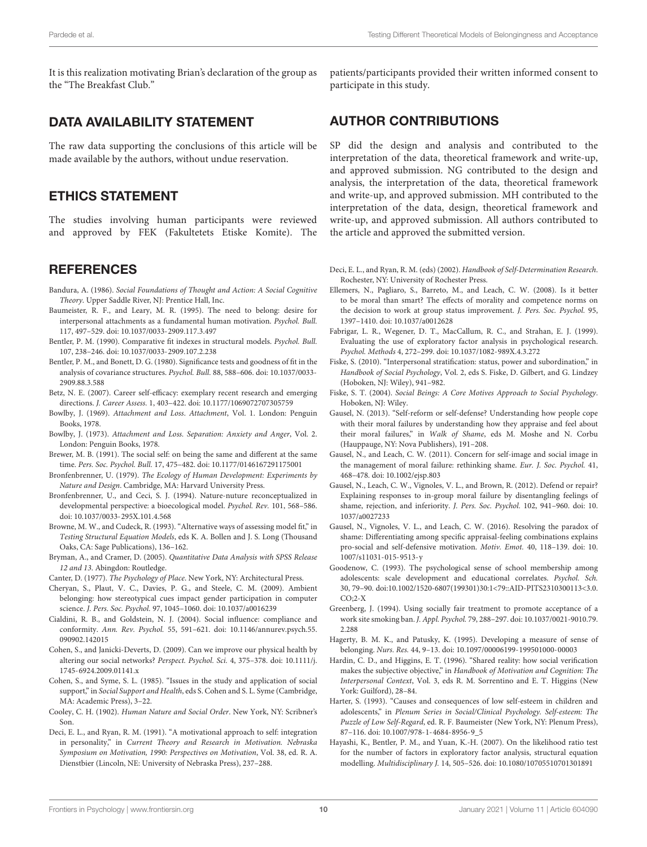It is this realization motivating Brian's declaration of the group as the "The Breakfast Club."

#### DATA AVAILABILITY STATEMENT

The raw data supporting the conclusions of this article will be made available by the authors, without undue reservation.

#### ETHICS STATEMENT

The studies involving human participants were reviewed and approved by FEK (Fakultetets Etiske Komite). The

#### **REFERENCES**

- <span id="page-9-16"></span>Bandura, A. (1986). Social Foundations of Thought and Action: A Social Cognitive Theory. Upper Saddle River, NJ: Prentice Hall, Inc.
- <span id="page-9-0"></span>Baumeister, R. F., and Leary, M. R. (1995). The need to belong: desire for interpersonal attachments as a fundamental human motivation. Psychol. Bull. 117, 497–529. [doi: 10.1037/0033-2909.117.3.497](https://doi.org/10.1037/0033-2909.117.3.497)
- <span id="page-9-21"></span>Bentler, P. M. (1990). Comparative fit indexes in structural models. Psychol. Bull. 107, 238–246. [doi: 10.1037/0033-2909.107.2.238](https://doi.org/10.1037/0033-2909.107.2.238)
- <span id="page-9-22"></span>Bentler, P. M., and Bonett, D. G. (1980). Significance tests and goodness of fit in the analysis of covariance structures. Psychol. Bull. 88, 588–606. [doi: 10.1037/0033-](https://doi.org/10.1037/0033-2909.88.3.588) [2909.88.3.588](https://doi.org/10.1037/0033-2909.88.3.588)
- <span id="page-9-20"></span>Betz, N. E. (2007). Career self-efficacy: exemplary recent research and emerging directions. J. Career Assess. 1, 403–422. [doi: 10.1177/1069072707305759](https://doi.org/10.1177/1069072707305759)
- <span id="page-9-9"></span>Bowlby, J. (1969). Attachment and Loss. Attachment, Vol. 1. London: Penguin Books, 1978.
- <span id="page-9-10"></span>Bowlby, J. (1973). Attachment and Loss. Separation: Anxiety and Anger, Vol. 2. London: Penguin Books, 1978.
- <span id="page-9-28"></span>Brewer, M. B. (1991). The social self: on being the same and different at the same time. Pers. Soc. Psychol. Bull. 17, 475–482. [doi: 10.1177/0146167291175001](https://doi.org/10.1177/0146167291175001)
- <span id="page-9-17"></span>Bronfenbrenner, U. (1979). The Ecology of Human Development: Experiments by Nature and Design. Cambridge, MA: Harvard University Press.
- <span id="page-9-27"></span>Bronfenbrenner, U., and Ceci, S. J. (1994). Nature-nuture reconceptualized in developmental perspective: a bioecological model. Psychol. Rev. 101, 568–586. [doi: 10.1037/0033-295X.101.4.568](https://doi.org/10.1037/0033-295X.101.4.568)
- <span id="page-9-23"></span>Browne, M. W., and Cudeck, R. (1993). "Alternative ways of assessing model fit," in Testing Structural Equation Models, eds K. A. Bollen and J. S. Long (Thousand Oaks, CA: Sage Publications), 136–162.
- <span id="page-9-25"></span>Bryman, A., and Cramer, D. (2005). Quantitative Data Analysis with SPSS Release 12 and 13. Abingdon: Routledge.
- <span id="page-9-18"></span>Canter, D. (1977). The Psychology of Place. New York, NY: Architectural Press.
- <span id="page-9-11"></span>Cheryan, S., Plaut, V. C., Davies, P. G., and Steele, C. M. (2009). Ambient belonging: how stereotypical cues impact gender participation in computer science. J. Pers. Soc. Psychol. 97, 1045–1060. [doi: 10.1037/a0016239](https://doi.org/10.1037/a0016239)
- <span id="page-9-6"></span>Cialdini, R. B., and Goldstein, N. J. (2004). Social influence: compliance and conformity. Ann. Rev. Psychol. 55, 591–621. [doi: 10.1146/annurev.psych.55.](https://doi.org/10.1146/annurev.psych.55.090902.142015) [090902.142015](https://doi.org/10.1146/annurev.psych.55.090902.142015)
- <span id="page-9-13"></span>Cohen, S., and Janicki-Deverts, D. (2009). Can we improve our physical health by altering our social networks? Perspect. Psychol. Sci. 4, 375–378. [doi: 10.1111/j.](https://doi.org/10.1111/j.1745-6924.2009.01141.x) [1745-6924.2009.01141.x](https://doi.org/10.1111/j.1745-6924.2009.01141.x)
- <span id="page-9-1"></span>Cohen, S., and Syme, S. L. (1985). "Issues in the study and application of social support," in Social Support and Health, eds S. Cohen and S. L. Syme (Cambridge, MA: Academic Press), 3–22.
- <span id="page-9-31"></span>Cooley, C. H. (1902). Human Nature and Social Order. New York, NY: Scribner's Son.
- <span id="page-9-3"></span>Deci, E. L., and Ryan, R. M. (1991). "A motivational approach to self: integration in personality," in Current Theory and Research in Motivation. Nebraska Symposium on Motivation, 1990: Perspectives on Motivation, Vol. 38, ed. R. A. Dienstbier (Lincoln, NE: University of Nebraska Press), 237–288.

patients/participants provided their written informed consent to participate in this study.

#### AUTHOR CONTRIBUTIONS

SP did the design and analysis and contributed to the interpretation of the data, theoretical framework and write-up, and approved submission. NG contributed to the design and analysis, the interpretation of the data, theoretical framework and write-up, and approved submission. MH contributed to the interpretation of the data, design, theoretical framework and write-up, and approved submission. All authors contributed to the article and approved the submitted version.

<span id="page-9-19"></span>Deci, E. L., and Ryan, R. M. (eds) (2002). Handbook of Self-Determination Research. Rochester, NY: University of Rochester Press.

- <span id="page-9-14"></span>Ellemers, N., Pagliaro, S., Barreto, M., and Leach, C. W. (2008). Is it better to be moral than smart? The effects of morality and competence norms on the decision to work at group status improvement. J. Pers. Soc. Psychol. 95, 1397–1410. [doi: 10.1037/a0012628](https://doi.org/10.1037/a0012628)
- <span id="page-9-24"></span>Fabrigar, L. R., Wegener, D. T., MacCallum, R. C., and Strahan, E. J. (1999). Evaluating the use of exploratory factor analysis in psychological research. Psychol. Methods 4, 272–299. [doi: 10.1037/1082-989X.4.3.272](https://doi.org/10.1037/1082-989X.4.3.272)
- <span id="page-9-32"></span>Fiske, S. (2010). "Interpersonal stratification: status, power and subordination," in Handbook of Social Psychology, Vol. 2, eds S. Fiske, D. Gilbert, and G. Lindzey (Hoboken, NJ: Wiley), 941–982.
- <span id="page-9-29"></span>Fiske, S. T. (2004). Social Beings: A Core Motives Approach to Social Psychology. Hoboken, NJ: Wiley.
- <span id="page-9-15"></span>Gausel, N. (2013). "Self-reform or self-defense? Understanding how people cope with their moral failures by understanding how they appraise and feel about their moral failures," in Walk of Shame, eds M. Moshe and N. Corbu (Hauppauge, NY: Nova Publishers), 191–208.
- <span id="page-9-12"></span>Gausel, N., and Leach, C. W. (2011). Concern for self-image and social image in the management of moral failure: rethinking shame. Eur. J. Soc. Psychol. 41, 468–478. [doi: 10.1002/ejsp.803](https://doi.org/10.1002/ejsp.803)
- <span id="page-9-7"></span>Gausel, N., Leach, C. W., Vignoles, V. L., and Brown, R. (2012). Defend or repair? Explaining responses to in-group moral failure by disentangling feelings of shame, rejection, and inferiority. J. Pers. Soc. Psychol. 102, 941–960. [doi: 10.](https://doi.org/10.1037/a0027233) [1037/a0027233](https://doi.org/10.1037/a0027233)
- <span id="page-9-8"></span>Gausel, N., Vignoles, V. L., and Leach, C. W. (2016). Resolving the paradox of shame: Differentiating among specific appraisal-feeling combinations explains pro-social and self-defensive motivation. Motiv. Emot. 40, 118–139. [doi: 10.](https://doi.org/10.1007/s11031-015-9513-y) [1007/s11031-015-9513-y](https://doi.org/10.1007/s11031-015-9513-y)
- <span id="page-9-4"></span>Goodenow, C. (1993). The psychological sense of school membership among adolescents: scale development and educational correlates. Psychol. Sch. 30, 79–90. [doi:10.1002/1520-6807\(199301\)30:1<79::AID-PITS2310300113<3.0.](https://doi.org/10.1002/1520-6807(199301)30:1<79::AID-PITS2310300113<3.0.CO;2-X)  $CO:2-X$
- <span id="page-9-5"></span>Greenberg, J. (1994). Using socially fair treatment to promote acceptance of a work site smoking ban. J. Appl. Psychol. 79, 288–297. [doi: 10.1037/0021-9010.79.](https://doi.org/10.1037/0021-9010.79.2.288) [2.288](https://doi.org/10.1037/0021-9010.79.2.288)
- <span id="page-9-2"></span>Hagerty, B. M. K., and Patusky, K. (1995). Developing a measure of sense of belonging. Nurs. Res. 44, 9–13. [doi: 10.1097/00006199-199501000-00003](https://doi.org/10.1097/00006199-199501000-00003)
- <span id="page-9-30"></span>Hardin, C. D., and Higgins, E. T. (1996). "Shared reality: how social verification makes the subjective objective," in Handbook of Motivation and Cognition: The Interpersonal Context, Vol. 3, eds R. M. Sorrentino and E. T. Higgins (New York: Guilford), 28–84.
- <span id="page-9-33"></span>Harter, S. (1993). "Causes and consequences of low self-esteem in children and adolescents," in Plenum Series in Social/Clinical Psychology. Self-esteem: The Puzzle of Low Self-Regard, ed. R. F. Baumeister (New York, NY: Plenum Press), 87–116. [doi: 10.1007/978-1-4684-8956-9\\_5](https://doi.org/10.1007/978-1-4684-8956-9_5)
- <span id="page-9-26"></span>Hayashi, K., Bentler, P. M., and Yuan, K.-H. (2007). On the likelihood ratio test for the number of factors in exploratory factor analysis, structural equation modelling. Multidisciplinary J. 14, 505–526. [doi: 10.1080/10705510701301891](https://doi.org/10.1080/10705510701301891)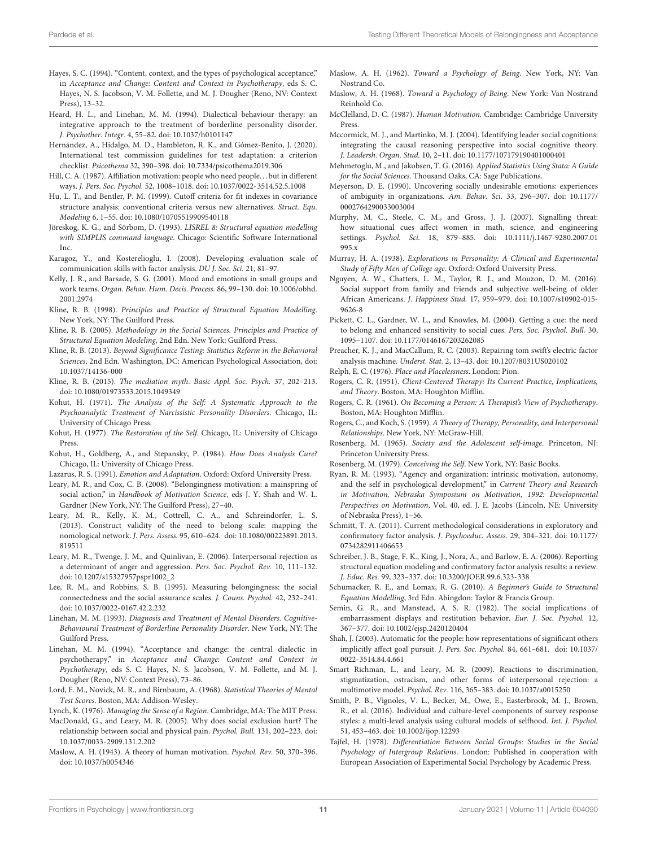- <span id="page-10-21"></span>Hayes, S. C. (1994). "Content, context, and the types of psychological acceptance," in Acceptance and Change: Content and Context in Psychotherapy, eds S. C. Hayes, N. S. Jacobson, V. M. Follette, and M. J. Dougher (Reno, NV: Context Press), 13–32.
- <span id="page-10-23"></span>Heard, H. L., and Linehan, M. M. (1994). Dialectical behaviour therapy: an integrative approach to the treatment of borderline personality disorder. J. Psychother. Integr. 4, 55–82. [doi: 10.1037/h0101147](https://doi.org/10.1037/h0101147)
- <span id="page-10-48"></span>Hernández, A., Hidalgo, M. D., Hambleton, R. K., and Gómez-Benito, J. (2020). International test commission guidelines for test adaptation: a criterion checklist. Psicothema 32, 390–398. [doi: 10.7334/psicothema2019.306](https://doi.org/10.7334/psicothema2019.306)
- <span id="page-10-17"></span>Hill, C. A. (1987). Affiliation motivation: people who need people. . . but in different ways. J. Pers. Soc. Psychol. 52, 1008–1018. [doi: 10.1037/0022-3514.52.5.1008](https://doi.org/10.1037/0022-3514.52.5.1008)
- <span id="page-10-31"></span>Hu, L. T., and Bentler, P. M. (1999). Cutoff criteria for fit indexes in covariance structure analysis: conventional criteria versus new alternatives. Struct. Equ. Modeling 6, 1–55. [doi: 10.1080/10705519909540118](https://doi.org/10.1080/10705519909540118)
- <span id="page-10-39"></span>Jöreskog, K. G., and Sörbom, D. (1993). LISREL 8: Structural equation modelling with SIMPLIS command language. Chicago: Scientific Software International Inc.
- <span id="page-10-37"></span>Karagoz, Y., and Kosterelioglu, I. (2008). Developing evaluation scale of communication skills with factor analysis. DU J. Soc. Sci. 21, 81–97.
- <span id="page-10-19"></span>Kelly, J. R., and Barsade, S. G. (2001). Mood and emotions in small groups and work teams. Organ. Behav. Hum. Decis. Process. 86, 99–130. [doi: 10.1006/obhd.](https://doi.org/10.1006/obhd.2001.2974) [2001.2974](https://doi.org/10.1006/obhd.2001.2974)
- <span id="page-10-34"></span>Kline, R. B. (1998). Principles and Practice of Structural Equation Modelling. New York, NY: The Guilford Press.
- <span id="page-10-40"></span>Kline, R. B. (2005). Methodology in the Social Sciences. Principles and Practice of Structural Equation Modeling, 2nd Edn. New York: Guilford Press.
- <span id="page-10-50"></span>Kline, R. B. (2013). Beyond Significance Testing: Statistics Reform in the Behavioral Sciences, 2nd Edn. Washington, DC: American Psychological Association, [doi:](https://doi.org/10.1037/14136-000) [10.1037/14136-000](https://doi.org/10.1037/14136-000)
- <span id="page-10-49"></span>Kline, R. B. (2015). The mediation myth. Basic Appl. Soc. Psych. 37, 202–213. [doi: 10.1080/01973533.2015.1049349](https://doi.org/10.1080/01973533.2015.1049349)
- <span id="page-10-13"></span>Kohut, H. (1971). The Analysis of the Self: A Systematic Approach to the Psychoanalytic Treatment of Narcissistic Personality Disorders. Chicago, IL: University of Chicago Press.
- <span id="page-10-14"></span>Kohut, H. (1977). The Restoration of the Self. Chicago, IL: University of Chicago Press.
- <span id="page-10-15"></span>Kohut, H., Goldberg, A., and Stepansky, P. (1984). How Does Analysis Cure? Chicago, IL: University of Chicago Press.
- <span id="page-10-18"></span>Lazarus, R. S. (1991). Emotion and Adaptation. Oxford: Oxford University Press.
- <span id="page-10-3"></span>Leary, M. R., and Cox, C. B. (2008). "Belongingness motivation: a mainspring of social action," in Handbook of Motivation Science, eds J. Y. Shah and W. L. Gardner (New York, NY: The Guilford Press), 27–40.
- <span id="page-10-42"></span>Leary, M. R., Kelly, K. M., Cottrell, C. A., and Schreindorfer, L. S. (2013). Construct validity of the need to belong scale: mapping the nomological network. J. Pers. Assess. 95, 610–624. [doi: 10.1080/00223891.2013.](https://doi.org/10.1080/00223891.2013.819511) [819511](https://doi.org/10.1080/00223891.2013.819511)
- <span id="page-10-2"></span>Leary, M. R., Twenge, J. M., and Quinlivan, E. (2006). Interpersonal rejection as a determinant of anger and aggression. Pers. Soc. Psychol. Rev. 10, 111–132. [doi: 10.1207/s15327957pspr1002\\_2](https://doi.org/10.1207/s15327957pspr1002_2)
- <span id="page-10-16"></span>Lee, R. M., and Robbins, S. B. (1995). Measuring belongingness: the social connectedness and the social assurance scales. J. Couns. Psychol. 42, 232–241. [doi: 10.1037/0022-0167.42.2.232](https://doi.org/10.1037/0022-0167.42.2.232)
- <span id="page-10-22"></span>Linehan, M. M. (1993). Diagnosis and Treatment of Mental Disorders. Cognitive-Behavioural Treatment of Borderline Personality Disorder. New York, NY: The Guilford Press.
- <span id="page-10-29"></span>Linehan, M. M. (1994). "Acceptance and change: the central dialectic in psychotherapy," in Acceptance and Change: Content and Context in Psychotherapy, eds S. C. Hayes, N. S. Jacobson, V. M. Follette, and M. J. Dougher (Reno, NV: Context Press), 73–86.
- <span id="page-10-35"></span>Lord, F. M., Novick, M. R., and Birnbaum, A. (1968). Statistical Theories of Mental Test Scores. Boston, MA: Addison-Wesley.

<span id="page-10-26"></span>Lynch, K. (1976). Managing the Sense of a Region. Cambridge, MA: The MIT Press.

- <span id="page-10-24"></span>MacDonald, G., and Leary, M. R. (2005). Why does social exclusion hurt? The relationship between social and physical pain. Psychol. Bull. 131, 202–223. [doi:](https://doi.org/10.1037/0033-2909.131.2.202) [10.1037/0033-2909.131.2.202](https://doi.org/10.1037/0033-2909.131.2.202)
- <span id="page-10-5"></span>Maslow, A. H. (1943). A theory of human motivation. Psychol. Rev. 50, 370–396. [doi: 10.1037/h0054346](https://doi.org/10.1037/h0054346)
- <span id="page-10-10"></span>Maslow, A. H. (1962). Toward a Psychology of Being. New York, NY: Van Nostrand Co.
- <span id="page-10-6"></span>Maslow, A. H. (1968). Toward a Psychology of Being. New York: Van Nostrand Reinhold Co.
- <span id="page-10-8"></span>McClelland, D. C. (1987). Human Motivation. Cambridge: Cambridge University Press.
- <span id="page-10-30"></span>Mccormick, M. J., and Martinko, M. J. (2004). Identifying leader social cognitions: integrating the causal reasoning perspective into social cognitive theory. J. Leadersh. Organ. Stud. 10, 2–11. [doi: 10.1177/107179190401000401](https://doi.org/10.1177/107179190401000401)
- <span id="page-10-33"></span>Mehmetoglu, M., and Jakobsen, T. G. (2016). Applied Statistics Using Stata: A Guide for the Social Sciences. Thousand Oaks, CA: Sage Publications.
- <span id="page-10-45"></span>Meyerson, D. E. (1990). Uncovering socially undesirable emotions: experiences of ambiguity in organizations. Am. Behav. Sci. 33, 296–307. [doi: 10.1177/](https://doi.org/10.1177/0002764290033003004) [0002764290033003004](https://doi.org/10.1177/0002764290033003004)
- <span id="page-10-12"></span>Murphy, M. C., Steele, C. M., and Gross, J. J. (2007). Signalling threat: how situational cues affect women in math, science, and engineering settings. Psychol. Sci. 18, 879–885. [doi: 10.1111/j.1467-9280.2007.01](https://doi.org/10.1111/j.1467-9280.2007.01995.x) [995.x](https://doi.org/10.1111/j.1467-9280.2007.01995.x)
- <span id="page-10-4"></span>Murray, H. A. (1938). Explorations in Personality: A Clinical and Experimental Study of Fifty Men of College age. Oxford: Oxford University Press.
- <span id="page-10-28"></span>Nguyen, A. W., Chatters, L. M., Taylor, R. J., and Mouzon, D. M. (2016). Social support from family and friends and subjective well-being of older African Americans. J. Happiness Stud. 17, 959–979. [doi: 10.1007/s10902-015-](https://doi.org/10.1007/s10902-015-9626-8) [9626-8](https://doi.org/10.1007/s10902-015-9626-8)
- <span id="page-10-20"></span>Pickett, C. L., Gardner, W. L., and Knowles, M. (2004). Getting a cue: the need to belong and enhanced sensitivity to social cues. Pers. Soc. Psychol. Bull. 30, 1095–1107. [doi: 10.1177/0146167203262085](https://doi.org/10.1177/0146167203262085)
- <span id="page-10-36"></span>Preacher, K. J., and MacCallum, R. C. (2003). Repairing tom swift's electric factor analysis machine. Underst. Stat. 2, 13–43. [doi: 10.1207/8031US020102](https://doi.org/10.1207/8031US020102)
- <span id="page-10-27"></span><span id="page-10-7"></span>Relph, E. C. (1976). Place and Placelessness. London: Pion.
- Rogers, C. R. (1951). Client-Centered Therapy: Its Current Practice, Implications, and Theory. Boston, MA: Houghton Mifflin.
- <span id="page-10-1"></span>Rogers, C. R. (1961). On Becoming a Person: A Therapist's View of Psychotherapy. Boston, MA: Houghton Mifflin.
- <span id="page-10-0"></span>Rogers, C., and Koch, S. (1959). A Theory of Therapy, Personality, and Interpersonal Relationships. New York, NY: McGraw-Hill.
- <span id="page-10-46"></span>Rosenberg, M. (1965). Society and the Adolescent self-image. Princeton, NJ: Princeton University Press.
- <span id="page-10-47"></span>Rosenberg, M. (1979). Conceiving the Self. New York, NY: Basic Books.
- <span id="page-10-9"></span>Ryan, R. M. (1993). "Agency and organization: intrinsic motivation, autonomy, and the self in psychological development," in Current Theory and Research in Motivation, Nebraska Symposium on Motivation, 1992: Developmental Perspectives on Motivation, Vol. 40, ed. J. E. Jacobs (Lincoln, NE: University of Nebraska Press), 1–56.
- <span id="page-10-38"></span>Schmitt, T. A. (2011). Current methodological considerations in exploratory and confirmatory factor analysis. J. Psychoeduc. Assess. 29, 304–321. [doi: 10.1177/](https://doi.org/10.1177/0734282911406653) [0734282911406653](https://doi.org/10.1177/0734282911406653)
- <span id="page-10-32"></span>Schreiber, J. B., Stage, F. K., King, J., Nora, A., and Barlow, E. A. (2006). Reporting structural equation modeling and confirmatory factor analysis results: a review. J. Educ. Res. 99, 323–337. [doi: 10.3200/JOER.99.6.323-338](https://doi.org/10.3200/JOER.99.6.323-338)
- <span id="page-10-41"></span>Schumacker, R. E., and Lomax, R. G. (2010). A Beginner's Guide to Structural Equation Modelling, 3rd Edn. Abingdon: Taylor & Francis Group.
- <span id="page-10-44"></span>Semin, G. R., and Manstead, A. S. R. (1982). The social implications of embarrassment displays and restitution behavior. Eur. J. Soc. Psychol. 12, 367–377. [doi: 10.1002/ejsp.2420120404](https://doi.org/10.1002/ejsp.2420120404)
- <span id="page-10-11"></span>Shah, J. (2003). Automatic for the people: how representations of significant others implicitly affect goal pursuit. J. Pers. Soc. Psychol. 84, 661–681. [doi: 10.1037/](https://doi.org/10.1037/0022-3514.84.4.661) [0022-3514.84.4.661](https://doi.org/10.1037/0022-3514.84.4.661)
- <span id="page-10-43"></span>Smart Richman, L., and Leary, M. R. (2009). Reactions to discrimination, stigmatization, ostracism, and other forms of interpersonal rejection: a multimotive model. Psychol. Rev. 116, 365–383. [doi: 10.1037/a0015250](https://doi.org/10.1037/a0015250)
- <span id="page-10-51"></span>Smith, P. B., Vignoles, V. L., Becker, M., Owe, E., Easterbrook, M. J., Brown, R., et al. (2016). Individual and culture-level components of survey response styles: a multi-level analysis using cultural models of selfhood. Int. J. Psychol. 51, 453–463. [doi: 10.1002/ijop.12293](https://doi.org/10.1002/ijop.12293)
- <span id="page-10-25"></span>Tajfel, H. (1978). Differentiation Between Social Groups: Studies in the Social Psychology of Intergroup Relations. London: Published in cooperation with European Association of Experimental Social Psychology by Academic Press.